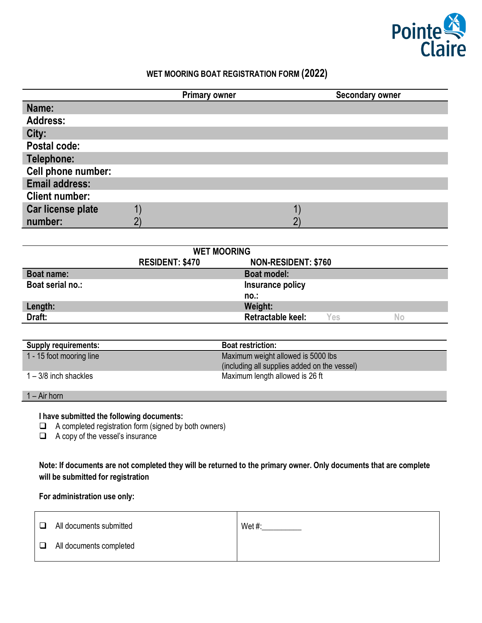

# **WET MOORING BOAT REGISTRATION FORM (2022)**

|                       | <b>Primary owner</b> | Secondary owner |
|-----------------------|----------------------|-----------------|
| Name:                 |                      |                 |
| <b>Address:</b>       |                      |                 |
| City:                 |                      |                 |
| Postal code:          |                      |                 |
| Telephone:            |                      |                 |
| Cell phone number:    |                      |                 |
| <b>Email address:</b> |                      |                 |
| <b>Client number:</b> |                      |                 |
| Car license plate     |                      |                 |
| number:               |                      |                 |

| <b>WET MOORING</b> |                        |                            |     |    |
|--------------------|------------------------|----------------------------|-----|----|
|                    | <b>RESIDENT: \$470</b> | <b>NON-RESIDENT: \$760</b> |     |    |
| Boat name:         |                        | <b>Boat model:</b>         |     |    |
| Boat serial no.:   |                        | Insurance policy           |     |    |
|                    |                        | no.:                       |     |    |
| Length:            |                        | Weight:                    |     |    |
| Draft:             |                        | <b>Retractable keel:</b>   | Yes | No |

| <b>Supply requirements:</b> | <b>Boat restriction:</b>                     |
|-----------------------------|----------------------------------------------|
| 1 - 15 foot mooring line    | Maximum weight allowed is 5000 lbs           |
|                             | (including all supplies added on the vessel) |
| 1 – 3/8 inch shackles       | Maximum length allowed is 26 ft              |

1 – Air horn

## **I have submitted the following documents:**

 $\Box$  A completed registration form (signed by both owners)

A copy of the vessel's insurance

**Note: If documents are not completed they will be returned to the primary owner. Only documents that are complete will be submitted for registration**

## **For administration use only:**

| $\Box$ | All documents submitted | Wet#: |
|--------|-------------------------|-------|
| $\Box$ | All documents completed |       |